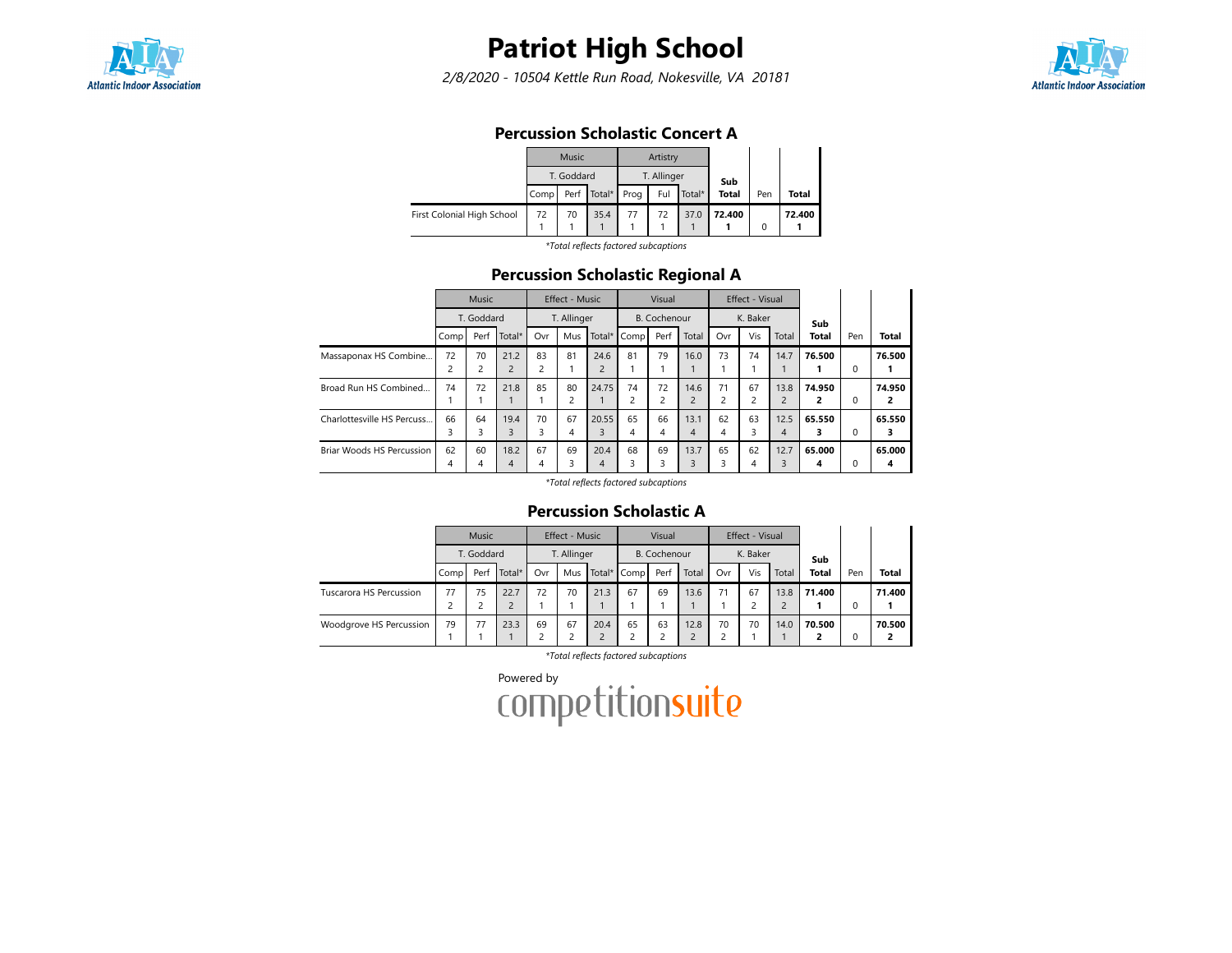

2/8/2020 - 10504 Kettle Run Road, Nokesville, VA 20181



#### Percussion Scholastic Concert A

|                            |      | Music      |                      | Artistry    |        |              |     |        |
|----------------------------|------|------------|----------------------|-------------|--------|--------------|-----|--------|
|                            |      | T. Goddard |                      | T. Allinger |        | Sub          |     |        |
|                            | Comp |            | Perf   Total*   Prog | Ful         | Total* | <b>Total</b> | Pen | Total  |
| First Colonial High School | 72   | 70         | 35.4                 | 72          | 37.0   | 72.400       |     | 72.400 |

\*Total reflects factored subcaptions

#### Percussion Scholastic Regional A

|                            |                | Music                        |                |     | Effect - Music |                |             | Visual              |                |                | Effect - Visual |                |        |          |              |
|----------------------------|----------------|------------------------------|----------------|-----|----------------|----------------|-------------|---------------------|----------------|----------------|-----------------|----------------|--------|----------|--------------|
|                            |                | T. Goddard<br>Total*<br>Perf |                |     | T. Allinger    |                |             | <b>B.</b> Cochenour |                |                | K. Baker        |                | Sub    |          |              |
|                            | Comp           |                              |                | Ovr | Mus            |                | Total* Comp | Perf                | Total          | Ovr            | Vis             | Total          | Total  | Pen      | <b>Total</b> |
| Massaponax HS Combine      | 72             | 70                           | 21.2           | 83  | 81             | 24.6           | 81          | 79                  | 16.0           | 73             | 74              | 14.7           | 76.500 |          | 76.500       |
|                            | $\overline{c}$ | 2                            | $\overline{c}$ | 2   |                | $\overline{2}$ |             |                     |                |                |                 |                |        | $\Omega$ |              |
| Broad Run HS Combined      | 74             | 72                           | 21.8           | 85  | 80             | 24.75          | 74          | 72                  | 14.6           | 71             | 67              | 13.8           | 74.950 |          | 74.950       |
|                            |                |                              |                |     | $\overline{2}$ |                | 2           |                     | $\overline{2}$ | $\overline{c}$ | $\overline{2}$  | $\overline{c}$ | 2      | 0        | 2            |
| Charlottesville HS Percuss | 66             | 64                           | 19.4           | 70  | 67             | 20.55          | 65          | 66                  | 13.1           | 62             | 63              | 12.5           | 65.550 |          | 65.550       |
|                            | 3              | 3                            | 3              | 3   | 4              | 3              | 4           | 4                   | 4              | 4              | 3               | 4              | 3      | 0        | з            |
| Briar Woods HS Percussion  | 62             | 60                           | 18.2           | 67  | 69             | 20.4           | 68          | 69                  | 13.7           | 65             | 62              | 12.7           | 65.000 |          | 65.000       |
|                            | 4              | 4                            | 4              | 4   | 3              | 4              |             | ς                   | 3              | 3              | 4               | 3              | 4      | 0        | 4            |

\*Total reflects factored subcaptions

#### Percussion Scholastic A

|                         |      | <b>Music</b> |                |     | Effect - Music |      |             | Visual              |       |     | Effect - Visual |       |              |     |              |
|-------------------------|------|--------------|----------------|-----|----------------|------|-------------|---------------------|-------|-----|-----------------|-------|--------------|-----|--------------|
|                         |      | T. Goddard   |                |     | T. Allinger    |      |             | <b>B.</b> Cochenour |       |     | K. Baker        |       | Sub          |     |              |
|                         | Comp | Perf         | Total*         | Ovr | Mus            |      | Total* Comp | Perf                | Total | Ovr | Vis             | Total | <b>Total</b> | Pen | <b>Total</b> |
| Tuscarora HS Percussion | 77   | 75           | 22.7           | 72  | 70             | 21.3 | 67          | 69                  | 13.6  | 71  | 67              | 13.8  | 71.400       |     | 71.400       |
|                         |      |              | $\overline{c}$ |     |                |      |             |                     |       |     |                 |       |              | 0   |              |
| Woodgrove HS Percussion | 79   | 77           | 23.3           | 69  | 67             | 20.4 | 65          | 63                  | 12.8  | 70  | 70              | 14.0  | 70.500       |     | 70.500       |
|                         |      |              |                |     |                |      |             |                     |       |     |                 |       |              | 0   |              |

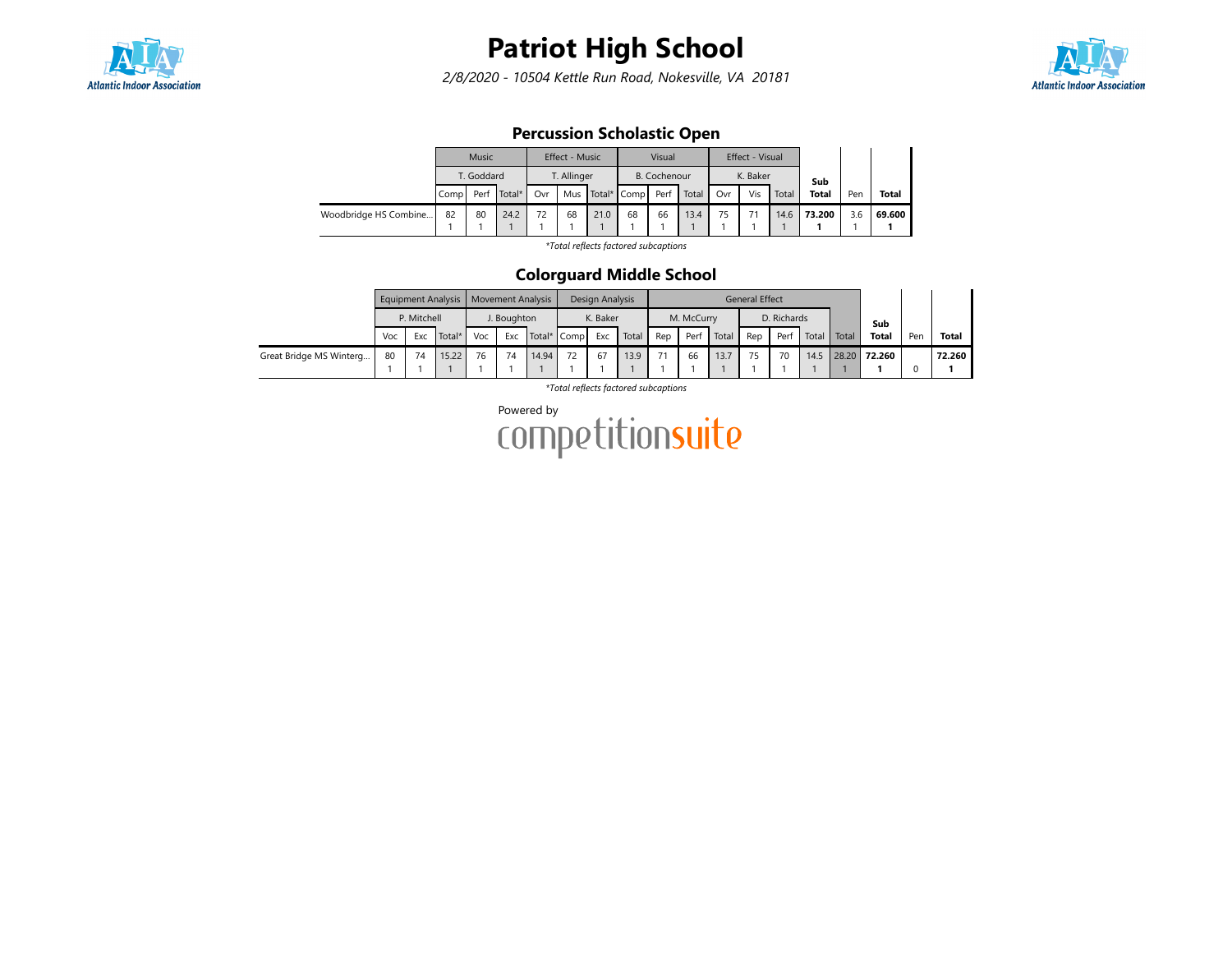

2/8/2020 - 10504 Kettle Run Road, Nokesville, VA 20181



### Percussion Scholastic Open

|                       |                         | Music      |      |     | Effect - Music |      |                 | Visual       |       |     | Effect - Visual |       |              |     |              |
|-----------------------|-------------------------|------------|------|-----|----------------|------|-----------------|--------------|-------|-----|-----------------|-------|--------------|-----|--------------|
|                       |                         | T. Goddard |      |     | T. Allinger    |      |                 | B. Cochenour |       |     | K. Baker        |       | Sub          |     |              |
|                       | Total*<br>Perf<br>Compl |            |      | Ovr |                |      | Mus Total* Comp | Perf         | Total | Ovr | Vis             | Total | <b>Total</b> | Pen | <b>Total</b> |
| Woodbridge HS Combine | 82                      | 80         | 24.2 | 72  | 68             | 21.0 | 68              | 66           | 13.4  | 75  |                 | 14.6  | 73.200       | 3.6 | 69.600       |
|                       |                         |            |      |     |                |      |                 |              |       |     |                 |       |              |     |              |

\*Total reflects factored subcaptions

#### Colorguard Middle School

|                         |     |             | Equipment Analysis   Movement Analysis |     |                                   |       |  | Design Analysis |       |     |            |       | <b>General Effect</b> |             |       |       |              |     |              |
|-------------------------|-----|-------------|----------------------------------------|-----|-----------------------------------|-------|--|-----------------|-------|-----|------------|-------|-----------------------|-------------|-------|-------|--------------|-----|--------------|
|                         |     | P. Mitchell |                                        |     |                                   |       |  | K. Baker        |       |     | M. McCurry |       |                       | D. Richards |       |       | Sub          |     |              |
|                         | Voc | Exc         | I Total*                               | Voc | J. Boughton<br>Total* Comp<br>Exc |       |  | Exc             | Total | Rep | Perf       | Total | Rep                   | Perf        | Total | Total | <b>Total</b> | Pen | <b>Total</b> |
| Great Bridge MS Winterg | 80  |             | 15.22                                  | 76  | 74                                | 14.94 |  | 67              | 13.9  | 71  | 66         | 13.7  |                       | 70          | 14.5  | 28.20 | 72.260       |     | 72.260       |
|                         |     |             |                                        |     |                                   |       |  |                 |       |     |            |       |                       |             |       |       |              |     |              |

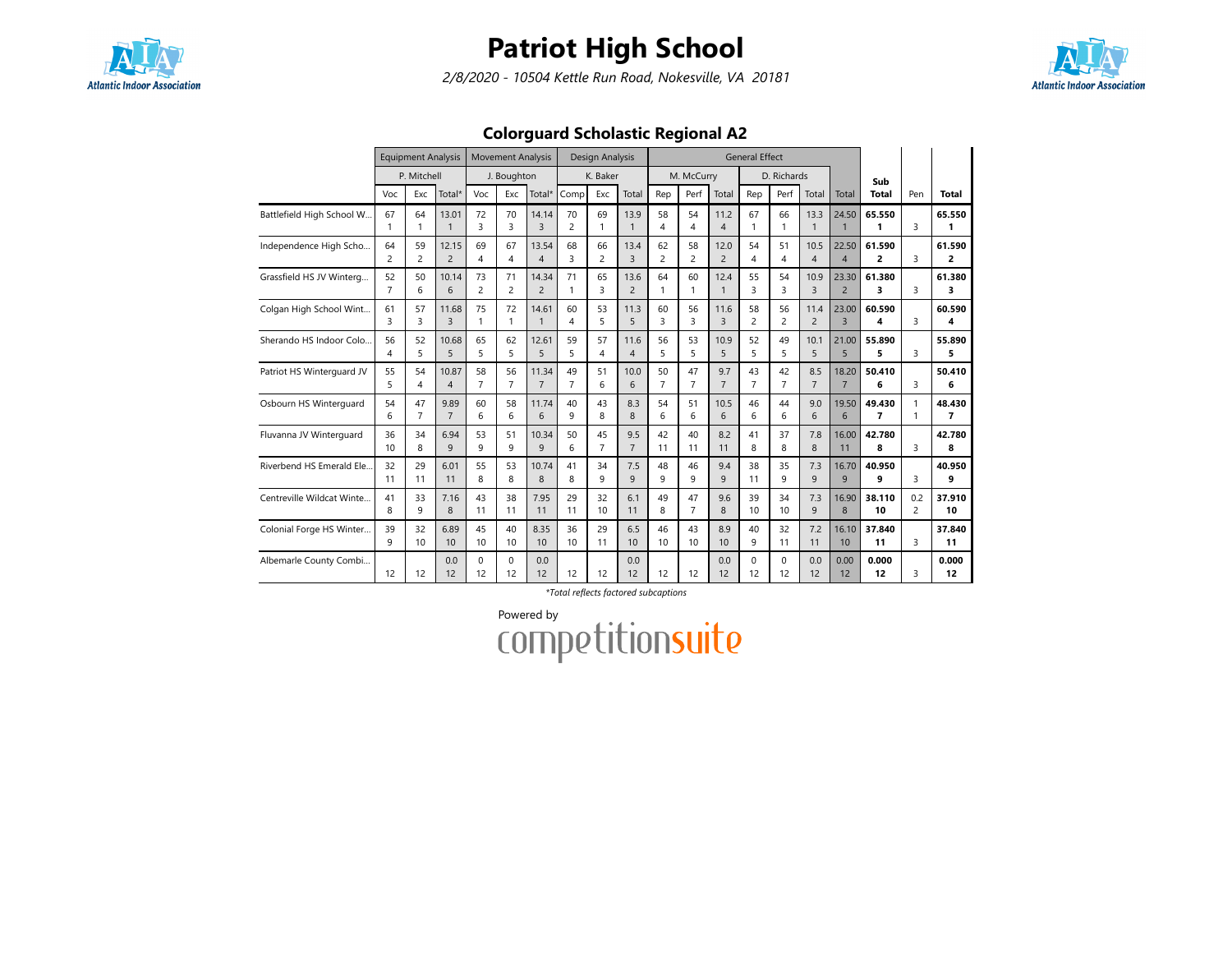

2/8/2020 - 10504 Kettle Run Road, Nokesville, VA 20181



## Colorguard Scholastic Regional A2

|                           |                      | <b>Equipment Analysis</b><br>P. Mitchell |                         |                      | <b>Movement Analysis</b> |                         |                      | Design Analysis      |                        |                               |                      |                        | <b>General Effect</b> |                      |                        |                         |                                    |                              |                          |
|---------------------------|----------------------|------------------------------------------|-------------------------|----------------------|--------------------------|-------------------------|----------------------|----------------------|------------------------|-------------------------------|----------------------|------------------------|-----------------------|----------------------|------------------------|-------------------------|------------------------------------|------------------------------|--------------------------|
|                           |                      |                                          |                         |                      | J. Boughton              |                         |                      | K. Baker             |                        |                               | M. McCurry           |                        |                       | D. Richards          |                        |                         | Sub                                |                              |                          |
|                           | Voc                  | Exc                                      | Total*                  | Voc                  | Exc                      | Total*                  | Comp                 | Exc                  | Total                  | Rep                           | Perf                 | Total                  | Rep                   | Perf                 | Total                  | Total                   | Total                              | Pen                          | Total                    |
| Battlefield High School W | 67<br>1              | 64<br>1                                  | 13.01<br>$\mathbf{1}$   | 72<br>3              | 70<br>3                  | 14.14<br>$\overline{3}$ | 70<br>$\overline{c}$ | 69<br>1              | 13.9<br>$\mathbf{1}$   | 58<br>$\overline{\mathbf{4}}$ | 54<br>4              | 11.2<br>$\overline{4}$ | 67                    | 66<br>$\mathbf{1}$   | 13.3<br>$\mathbf{1}$   | 24.50                   | 65.550<br>1                        | 3                            | 65.550<br>1              |
| Independence High Scho    | 64<br>2              | 59<br>$\overline{c}$                     | 12.15<br>$\overline{2}$ | 69<br>4              | 67<br>$\overline{4}$     | 13.54<br>$\overline{4}$ | 68<br>3              | 66<br>$\overline{c}$ | 13.4<br>$\overline{3}$ | 62<br>2                       | 58<br>$\overline{2}$ | 12.0<br>$\overline{2}$ | 54<br>4               | 51<br>4              | 10.5<br>$\overline{4}$ | 22.50<br>$\overline{4}$ | 61.590<br>2                        | 3                            | 61.590<br>2              |
| Grassfield HS JV Winterg  | 52<br>$\overline{7}$ | 50<br>6                                  | 10.14<br>6              | 73<br>$\overline{c}$ | 71<br>$\overline{c}$     | 14.34<br>$\overline{2}$ | 71<br>1              | 65<br>3              | 13.6<br>$\overline{2}$ | 64<br>1                       | 60<br>$\mathbf{1}$   | 12.4<br>$\mathbf{1}$   | 55<br>3               | 54<br>3              | 10.9<br>3              | 23.30<br>$\overline{2}$ | 61.380<br>3                        | 3                            | 61.380<br>3              |
| Colgan High School Wint   | 61<br>3              | 57<br>3                                  | 11.68<br>3              | 75<br>$\mathbf{1}$   | 72<br>1                  | 14.61                   | 60<br>4              | 53<br>5              | 11.3<br>5              | 60<br>3                       | 56<br>3              | 11.6<br>$\overline{3}$ | 58<br>$\overline{c}$  | 56<br>2              | 11.4<br>$\overline{c}$ | 23.00<br>$\overline{3}$ | 60.590<br>4                        | 3                            | 60.590<br>4              |
| Sherando HS Indoor Colo   | 56<br>4              | 52<br>5                                  | 10.68<br>5              | 65<br>5              | 62<br>5                  | 12.61<br>5              | 59<br>5              | 57<br>4              | 11.6<br>$\overline{4}$ | 56<br>5                       | 53<br>5              | 10.9<br>5              | 52<br>5               | 49<br>5              | 10.1<br>5              | 21.00<br>5              | 55.890<br>5                        | 3                            | 55.890<br>5              |
| Patriot HS Winterguard JV | 55<br>5              | 54<br>4                                  | 10.87<br>$\overline{4}$ | 58<br>$\overline{7}$ | 56<br>$\overline{7}$     | 11.34<br>$\overline{7}$ | 49<br>$\overline{7}$ | 51<br>6              | 10.0<br>6              | 50<br>$\overline{7}$          | 47<br>$\overline{7}$ | 9.7<br>$\overline{7}$  | 43<br>$\overline{7}$  | 42<br>$\overline{7}$ | 8.5<br>$\overline{7}$  | 18.20<br>$\overline{7}$ | 50.410<br>6                        | 3                            | 50.410<br>6              |
| Osbourn HS Winterguard    | 54<br>6              | 47<br>$\overline{7}$                     | 9.89<br>$\overline{7}$  | 60<br>6              | 58<br>6                  | 11.74<br>6              | 40<br>9              | 43<br>8              | 8.3<br>8               | 54<br>6                       | 51<br>6              | 10.5<br>6              | 46<br>6               | 44<br>6              | 9.0<br>6               | 19.50<br>6              | 49.430<br>$\overline{\phantom{a}}$ | $\mathbf{1}$<br>$\mathbf{1}$ | 48.430<br>$\overline{ }$ |
| Fluvanna JV Winterquard   | 36<br>10             | 34<br>8                                  | 6.94<br>9               | 53<br>9              | 51<br>9                  | 10.34<br>9              | 50<br>6              | 45<br>$\overline{7}$ | 9.5<br>$\overline{7}$  | 42<br>11                      | 40<br>11             | 8.2<br>11              | 41<br>8               | 37<br>8              | 7.8<br>8               | 16.00<br>11             | 42.780<br>8                        | 3                            | 42.780<br>8              |
| Riverbend HS Emerald Ele. | 32<br>11             | 29<br>11                                 | 6.01<br>11              | 55<br>8              | 53<br>8                  | 10.74<br>8              | 41<br>8              | 34<br>9              | 7.5<br>9               | 48<br>9                       | 46<br>9              | 9.4<br>9               | 38<br>11              | 35<br>9              | 7.3<br>9               | 16.70<br>9              | 40.950<br>9                        | 3                            | 40.950<br>q              |
| Centreville Wildcat Winte | 41<br>8              | 33<br>9                                  | 7.16<br>8               | 43<br>11             | 38<br>11                 | 7.95<br>11              | 29<br>11             | 32<br>10             | 6.1<br>11              | 49<br>8                       | 47<br>$\overline{7}$ | 9.6<br>8               | 39<br>10              | 34<br>10             | 7.3<br>9               | 16.90<br>8              | 38.110<br>10                       | 0.2<br>$\overline{c}$        | 37.910<br>10             |
| Colonial Forge HS Winter  | 39<br>9              | 32<br>10                                 | 6.89<br>10              | 45<br>10             | 40<br>10                 | 8.35<br>10              | 36<br>10             | 29<br>11             | 6.5<br>10              | 46<br>10                      | 43<br>10             | 8.9<br>10              | 40<br>9               | 32<br>11             | 7.2<br>11              | 16.10<br>10             | 37.840<br>11                       | 3                            | 37.840<br>11             |
| Albemarle County Combi    | 12                   | 12                                       | 0.0<br>12               | $\Omega$<br>12       | $\Omega$<br>12           | 0.0<br>12               | 12                   | 12                   | 0.0<br>12              | 12                            | 12                   | 0.0<br>12              | $\Omega$<br>12        | $\Omega$<br>12       | 0.0<br>12              | 0.00<br>12              | 0.000<br>12                        | 3                            | 0.000<br>12              |

\*Total reflects factored subcaptions

Powered by<br>COMPetitionsuite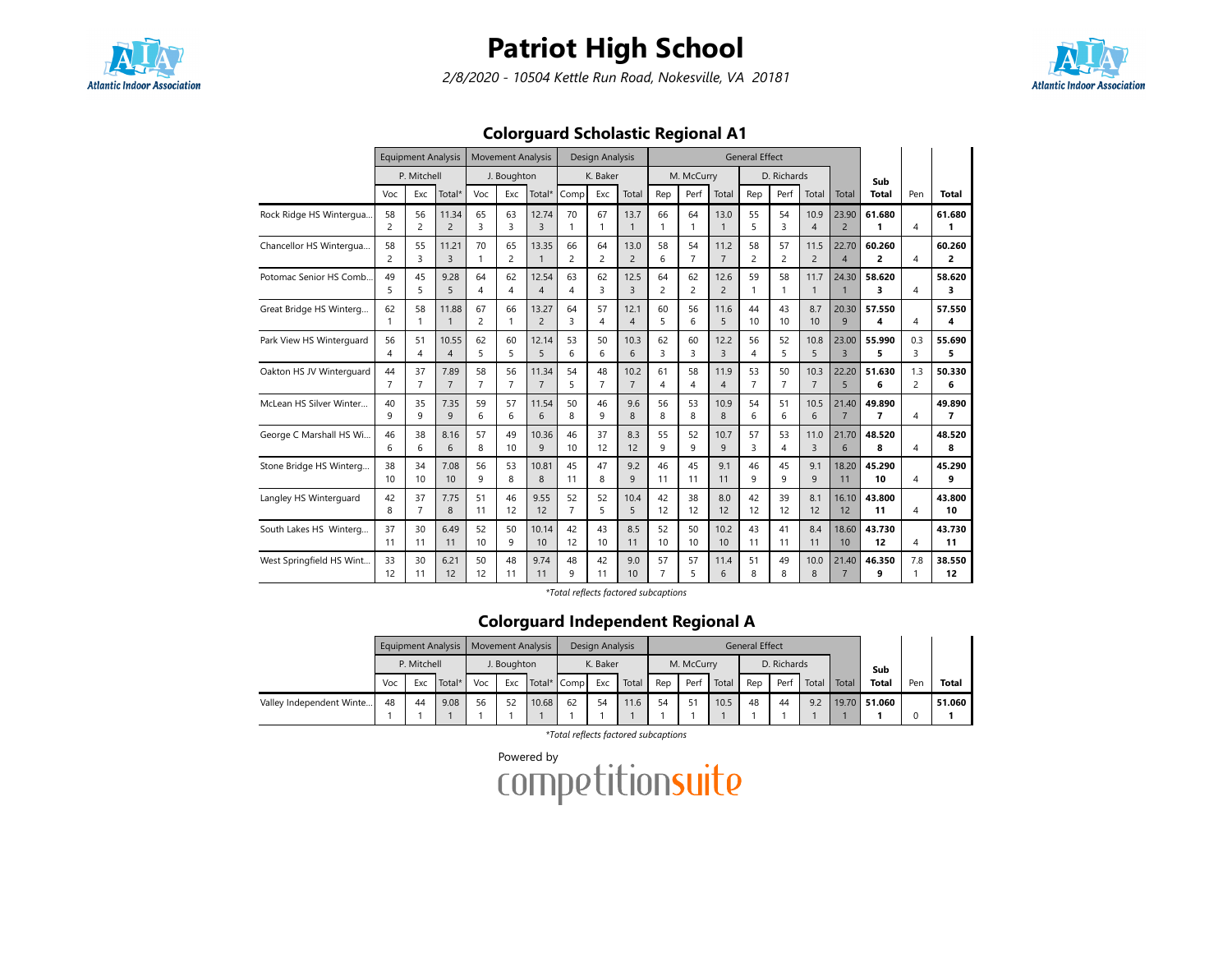

2/8/2020 - 10504 Kettle Run Road, Nokesville, VA 20181



### Colorguard Scholastic Regional A1

|                          |                      | <b>Equipment Analysis</b> |                         |                      | <b>Movement Analysis</b> |                         |                      | Design Analysis      |                        |                      |                      |                        | <b>General Effect</b> |                      |                        |                         |                          |                       |                          |
|--------------------------|----------------------|---------------------------|-------------------------|----------------------|--------------------------|-------------------------|----------------------|----------------------|------------------------|----------------------|----------------------|------------------------|-----------------------|----------------------|------------------------|-------------------------|--------------------------|-----------------------|--------------------------|
|                          |                      | P. Mitchell               |                         |                      | J. Boughton              |                         |                      | K. Baker             |                        |                      | M. McCurry           |                        |                       | D. Richards          |                        |                         | Sub                      |                       |                          |
|                          | Voc                  | Exc                       | Total*                  | Voc                  | Exc                      | Total*                  | Comp                 | Exc                  | Total                  | Rep                  | Perf                 | Total                  | Rep                   | Perf                 | Total                  | Total                   | Total                    | Pen                   | <b>Total</b>             |
| Rock Ridge HS Wintergua  | 58<br>$\overline{c}$ | 56<br>$\overline{c}$      | 11.34<br>$\overline{2}$ | 65<br>$\overline{3}$ | 63<br>3                  | 12.74<br>3              | 70<br>1              | 67                   | 13.7<br>$\mathbf{1}$   | 66<br>$\mathbf{1}$   | 64<br>$\mathbf{1}$   | 13.0<br>$\mathbf{1}$   | 55<br>5               | 54<br>3              | 10.9<br>$\overline{4}$ | 23.90<br>$\overline{2}$ | 61.680<br>1              | $\boldsymbol{\Delta}$ | 61.680                   |
| Chancellor HS Wintergua  | 58<br>$\overline{2}$ | 55<br>3                   | 11.21<br>3              | 70<br>$\mathbf{1}$   | 65<br>$\overline{c}$     | 13.35<br>1              | 66<br>$\overline{c}$ | 64<br>$\overline{c}$ | 13.0<br>$\overline{2}$ | 58<br>6              | 54<br>$\overline{7}$ | 11.2<br>$\overline{7}$ | 58<br>$\overline{c}$  | 57<br>$\overline{c}$ | 11.5<br>$\overline{2}$ | 22.70<br>$\overline{4}$ | 60.260<br>$\overline{2}$ | 4                     | 60.260<br>2              |
| Potomac Senior HS Comb.  | 49<br>5              | 45<br>5                   | 9.28<br>5               | 64<br>4              | 62<br>4                  | 12.54<br>$\overline{4}$ | 63<br>4              | 62<br>3              | 12.5<br>3              | 64<br>$\overline{c}$ | 62<br>$\overline{c}$ | 12.6<br>$\overline{2}$ | 59<br>$\mathbf{1}$    | 58<br>1              | 11.7<br>$\mathbf{1}$   | 24.30<br>$\mathbf{1}$   | 58.620<br>3              | 4                     | 58.620<br>3              |
| Great Bridge HS Winterg  | 62<br>$\mathbf{1}$   | 58<br>1                   | 11.88<br>1              | 67<br>$\overline{2}$ | 66<br>$\mathbf{1}$       | 13.27<br>$\overline{2}$ | 64<br>3              | 57<br>4              | 12.1<br>$\overline{4}$ | 60<br>5              | 56<br>6              | 11.6<br>5              | 44<br>10              | 43<br>10             | 8.7<br>10              | 20.30<br>9              | 57.550<br>4              | 4                     | 57.550<br>4              |
| Park View HS Winterguard | 56<br>4              | 51<br>4                   | 10.55<br>$\overline{4}$ | 62<br>5              | 60<br>5                  | 12.14<br>5              | 53<br>6              | 50<br>6              | 10.3<br>6              | 62<br>3              | 60<br>3              | 12.2<br>3              | 56<br>4               | 52<br>5              | 10.8<br>5              | 23.00<br>$\overline{3}$ | 55.990<br>5              | 0.3<br>3              | 55.690<br>5              |
| Oakton HS JV Winterguard | 44<br>$\overline{7}$ | 37<br>$\overline{7}$      | 7.89<br>$\overline{7}$  | 58<br>$\overline{7}$ | 56<br>$\overline{7}$     | 11.34<br>$\overline{7}$ | 54<br>5              | 48<br>$\overline{7}$ | 10.2<br>$\overline{7}$ | 61<br>4              | 58<br>4              | 11.9<br>$\overline{4}$ | 53<br>$\overline{7}$  | 50<br>$\overline{7}$ | 10.3<br>$\overline{7}$ | 22.20<br>5              | 51.630<br>6              | 1.3<br>$\overline{2}$ | 50.330<br>6              |
| McLean HS Silver Winter  | 40<br>$\mathsf{Q}$   | 35<br>9                   | 7.35<br>9               | 59<br>6              | 57<br>6                  | 11.54<br>6              | 50<br>8              | 46<br>9              | 9.6<br>8               | 56<br>8              | 53<br>8              | 10.9<br>8              | 54<br>6               | 51<br>6              | 10.5<br>6              | 21.40<br>$\overline{7}$ | 49.890<br>$\overline{7}$ | $\overline{4}$        | 49.890<br>$\overline{ }$ |
| George C Marshall HS Wi  | 46<br>6              | 38<br>6                   | 8.16<br>6               | 57<br>8              | 49<br>10                 | 10.36<br>9              | 46<br>10             | 37<br>12             | 8.3<br>12              | 55<br>9              | 52<br>9              | 10.7<br>9              | 57<br>3               | 53<br>4              | 11.0<br>3              | 21.70<br>6              | 48.520<br>8              | 4                     | 48.520<br>8              |
| Stone Bridge HS Winterg  | 38<br>10             | 34<br>10                  | 7.08<br>10              | 56<br>9              | 53<br>8                  | 10.81<br>8              | 45<br>11             | 47<br>8              | 9.2<br>9               | 46<br>11             | 45<br>11             | 9.1<br>11              | 46<br>9               | 45<br>9              | 9.1<br>9               | 18.20<br>11             | 45.290<br>10             | 4                     | 45.290<br>q              |
| Langley HS Winterguard   | 42<br>8              | 37<br>$\overline{7}$      | 7.75<br>8               | 51<br>11             | 46<br>12                 | 9.55<br>12              | 52<br>$\overline{7}$ | 52<br>5              | 10.4<br>5              | 42<br>12             | 38<br>12             | 8.0<br>12              | 42<br>12              | 39<br>12             | 8.1<br>12              | 16.10<br>12             | 43.800<br>11             | 4                     | 43.800<br>10             |
| South Lakes HS Winterg   | 37<br>11             | 30<br>11                  | 6.49<br>11              | 52<br>10             | 50<br>9                  | 10.14<br>10             | 42<br>12             | 43<br>10             | 8.5<br>11              | 52<br>10             | 50<br>10             | 10.2<br>10             | 43<br>11              | 41<br>11             | 8.4<br>11              | 18.60<br>10             | 43.730<br>12             | 4                     | 43.730<br>11             |
| West Springfield HS Wint | 33<br>12             | 30<br>11                  | 6.21<br>12              | 50<br>12             | 48<br>11                 | 9.74<br>11              | 48<br>9              | 42<br>11             | 9.0<br>10              | 57<br>$\overline{7}$ | 57<br>5              | 11.4<br>6              | 51<br>8               | 49<br>8              | 10.0<br>8              | 21.40<br>$\overline{7}$ | 46.350<br>9              | 7.8                   | 38.550<br>12             |

\*Total reflects factored subcaptions

### Colorguard Independent Regional A

|                          |     |             | Equipment Analysis   Movement Analysis |     |             |             |    | Design Analysis |       |     |            |       | <b>General Effect</b> |             |       |        |              |     |              |
|--------------------------|-----|-------------|----------------------------------------|-----|-------------|-------------|----|-----------------|-------|-----|------------|-------|-----------------------|-------------|-------|--------|--------------|-----|--------------|
|                          |     | P. Mitchell |                                        |     | J. Boughton |             |    | K. Baker        |       |     | M. McCurry |       |                       | D. Richards |       |        | Sub          |     |              |
|                          | Voc | Exc         | Total*                                 | Voc | Exc         | Total* Comp |    | Exc             | Total | Rep | Per        | Total | Rep                   | Perf        | Total | Total. | <b>Total</b> | Pen | <b>Total</b> |
| Valley Independent Winte | 48  | 44          | 9.08                                   | 56  | 52          | 10.68       | 62 | 54              | 11.6  | 54  |            | 10.5  | 48                    | 44          | 9.2   |        | 19.70 51.060 |     | 51.060       |
|                          |     |             |                                        |     |             |             |    |                 |       |     |            |       |                       |             |       |        |              |     |              |

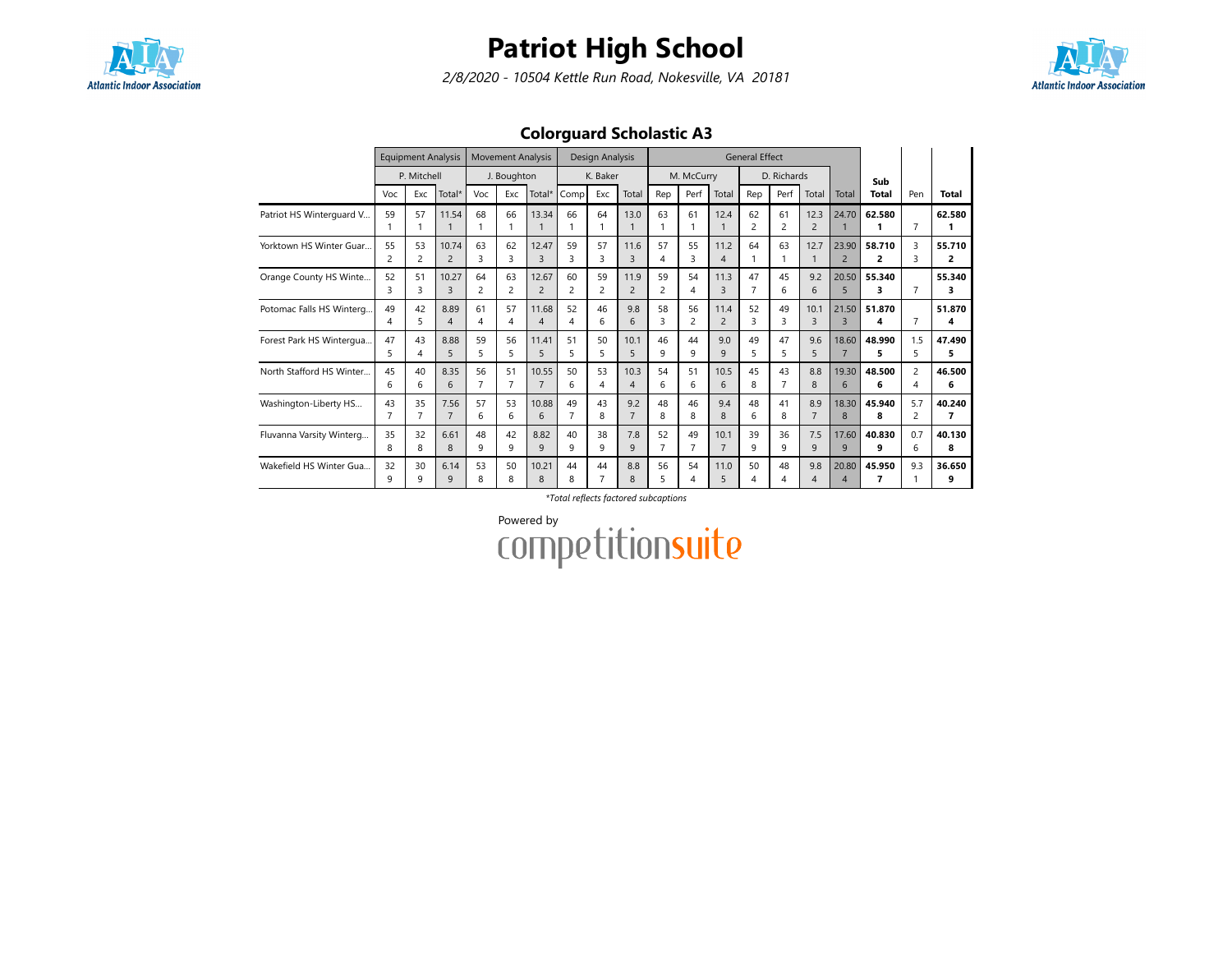

2/8/2020 - 10504 Kettle Run Road, Nokesville, VA 20181



### Colorguard Scholastic A3

|                          |                      | <b>Equipment Analysis</b> |                         |                      | <b>Movement Analysis</b>      |                                |                      | Design Analysis |                        |         |                      |                        | <b>General Effect</b> |                   |                        |                                   |              |                       |             |
|--------------------------|----------------------|---------------------------|-------------------------|----------------------|-------------------------------|--------------------------------|----------------------|-----------------|------------------------|---------|----------------------|------------------------|-----------------------|-------------------|------------------------|-----------------------------------|--------------|-----------------------|-------------|
|                          |                      | P. Mitchell               |                         |                      | J. Boughton                   |                                |                      | K. Baker        |                        |         | M. McCurry           |                        |                       | D. Richards       |                        |                                   | Sub          |                       |             |
|                          | Voc                  | Exc                       | Total*                  | Voc                  | Exc                           | Total*                         | Comp                 | Exc             | Total                  | Rep     | Perf                 | Total                  | Rep                   | Perf              | Total                  | Total                             | Total        | Pen                   | Total       |
| Patriot HS Winterguard V | 59                   | 57                        | 11.54                   | 68                   | 66                            | 13.34                          | 66                   | 64              | 13.0                   | 63      | 61                   | 12.4                   | 62<br>$\overline{c}$  | 61<br>2           | 12.3<br>$\overline{2}$ | 24.70                             | 62.580       | $\overline{7}$        | 62.580      |
| Yorktown HS Winter Guar  | 55<br>2              | 53<br>2                   | 10.74<br>$\overline{2}$ | 63<br>3              | 62<br>$\overline{\mathbf{3}}$ | 12.47<br>$\overline{3}$        | 59<br>3              | 57<br>3         | 11.6<br>3              | 57<br>4 | 55<br>3              | 11.2<br>$\overline{4}$ | 64                    | 63                | 12.7                   | 23.90<br>$\overline{2}$           | 58.710<br>2  | 3<br>З                | 55.710<br>2 |
| Orange County HS Winte   | 52<br>3              | 51<br>3                   | 10.27<br>3              | 64<br>2              | 63<br>2                       | 12.67<br>$\overline{2}$        | 60<br>$\overline{c}$ | 59<br>2         | 11.9<br>$\overline{2}$ | 59<br>2 | 54<br>4              | 11.3<br>$\overline{3}$ | 47<br>7               | 45<br>6           | 9.2<br>6               | 20.50<br>5                        | 55.340<br>3  | 7                     | 55.340<br>з |
| Potomac Falls HS Winterg | 49<br>4              | 42<br>5                   | 8.89<br>$\overline{4}$  | 61<br>4              | 57<br>4                       | 11.68<br>$\boldsymbol{\Delta}$ | 52<br>4              | 46<br>6         | 9.8<br>6               | 58<br>3 | 56<br>2              | 11.4<br>$\overline{2}$ | 52<br>3               | 49<br>3           | 10.1<br>3              | 21.50<br>$\overline{3}$           | 51.870<br>4  | 7                     | 51.870<br>4 |
| Forest Park HS Wintergua | 47<br>5              | 43<br>4                   | 8.88<br>5               | 59<br>5              | 56<br>5                       | 11.41<br>5                     | 51<br>5              | 50<br>5         | 10.1<br>5              | 46<br>9 | 44<br>9              | 9.0<br>$\mathsf{q}$    | 49<br>5               | 47<br>5           | 9.6<br>5               | 18.60<br>$\overline{7}$           | 48.990<br>5. | 1.5<br>5              | 47.490<br>5 |
| North Stafford HS Winter | 45<br>6              | 40<br>6                   | 8.35<br>6               | 56<br>$\overline{7}$ | 51<br>$\overline{7}$          | 10.55<br>$\overline{7}$        | 50<br>6              | 53<br>4         | 10.3<br>$\overline{4}$ | 54<br>6 | 51<br>6              | 10.5<br>6              | 45<br>8               | 43                | 8.8<br>8               | 19.30<br>6                        | 48.500<br>6  | $\overline{c}$<br>4   | 46.500<br>6 |
| Washington-Liberty HS    | 43<br>$\overline{7}$ | 35<br>$\overline{7}$      | 7.56<br>$\overline{7}$  | 57<br>6              | 53<br>6                       | 10.88<br>6                     | 49                   | 43<br>8         | 9.2<br>$\overline{7}$  | 48<br>8 | 46<br>8              | 9.4<br>8               | 48<br>6               | 41<br>8           | 8.9<br>$\overline{7}$  | 18.30<br>8                        | 45.940<br>8  | 5.7<br>$\overline{c}$ | 40.240<br>7 |
| Fluvanna Varsity Winterg | 35<br>8              | 32<br>8                   | 6.61<br>8               | 48<br>$\mathsf{Q}$   | 42<br>9                       | 8.82<br>$\mathsf{Q}$           | 40<br>9              | 38<br>9         | 7.8<br>9               | 52<br>7 | 49<br>$\overline{7}$ | 10.1<br>$\overline{7}$ | 39<br>9               | 36<br>$\mathsf q$ | 7.5<br>9               | 17.60<br>9                        | 40.830<br>9  | 0.7<br>6              | 40.130<br>8 |
| Wakefield HS Winter Gua  | 32<br>9              | 30<br>9                   | 6.14<br>9               | 53<br>8              | 50<br>8                       | 10.21<br>8                     | 44<br>8              | 44<br>7         | 8.8<br>8               | 56<br>5 | 54<br>4              | 11.0<br>5              | 50<br>4               | 48<br>Δ           | 9.8<br>4               | 20.80<br>$\boldsymbol{\varDelta}$ | 45.950       | 9.3                   | 36.650<br>9 |

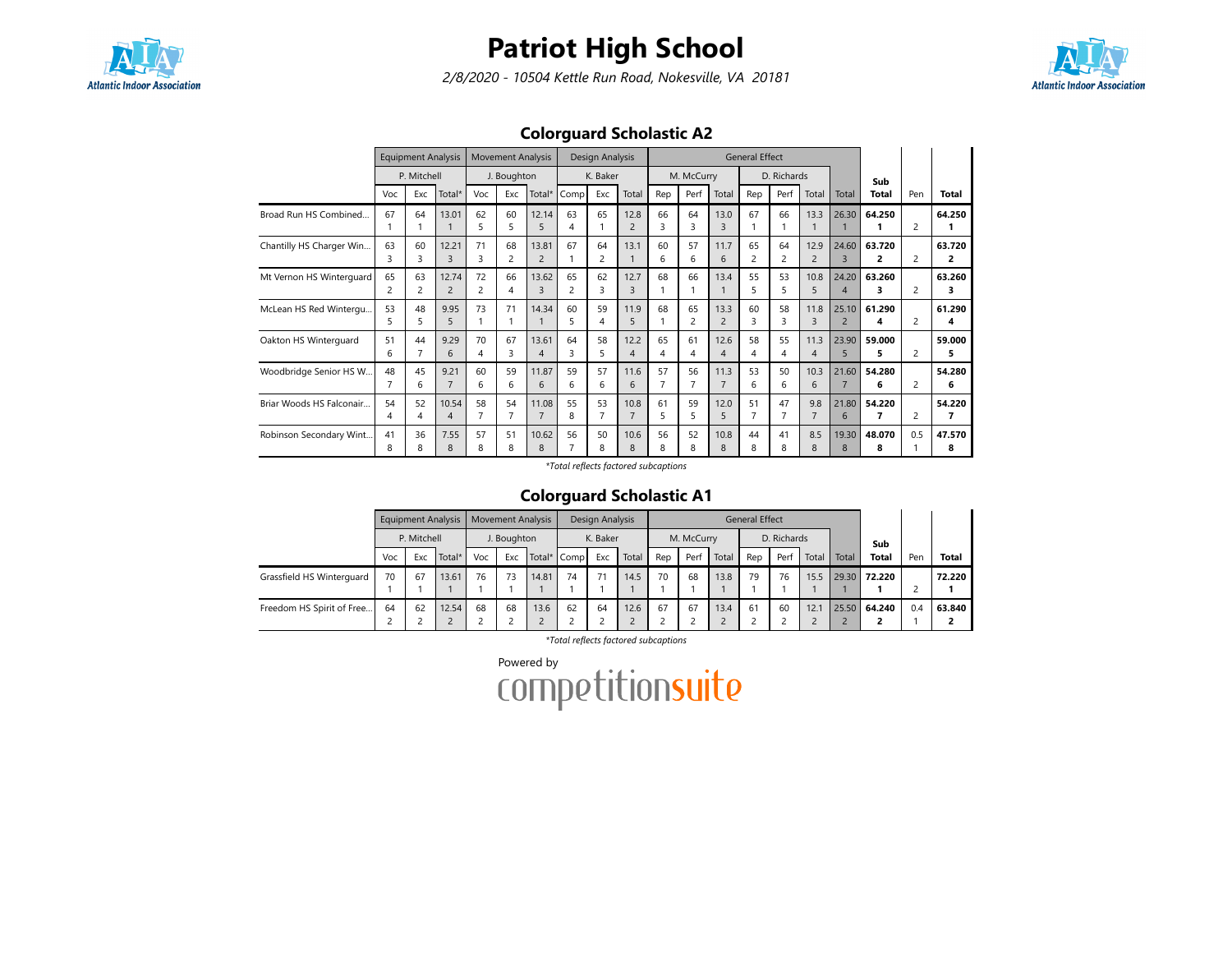

2/8/2020 - 10504 Kettle Run Road, Nokesville, VA 20181



### Colorguard Scholastic A2

|                          |         | <b>Equipment Analysis</b><br>P. Mitchell |                         |         | <b>Movement Analysis</b> |                                   |                               | Design Analysis      |                        |         |            |                        | <b>General Effect</b> |                      |                        |                         |              |                          |              |
|--------------------------|---------|------------------------------------------|-------------------------|---------|--------------------------|-----------------------------------|-------------------------------|----------------------|------------------------|---------|------------|------------------------|-----------------------|----------------------|------------------------|-------------------------|--------------|--------------------------|--------------|
|                          |         |                                          |                         |         | J. Boughton              |                                   |                               | K. Baker             |                        |         | M. McCurry |                        |                       | D. Richards          |                        |                         | Sub          |                          |              |
|                          | Voc     | Exc                                      | Total*                  | Voc     | Exc                      | Total*                            | Comp                          | Exc                  | Total                  | Rep     | Perf       | Total                  | Rep                   | Perf                 | Total                  | Total                   | <b>Total</b> | Pen                      | <b>Total</b> |
| Broad Run HS Combined    | 67      | 64                                       | 13.01                   | 62<br>5 | 60<br>5                  | 12.14<br>5                        | 63<br>4                       | 65                   | 12.8<br>$\overline{2}$ | 66<br>3 | 64<br>3    | 13.0<br>3              | 67                    | 66                   | 13.3                   | 26.30                   | 64.250       | $\overline{c}$           | 64.250       |
| Chantilly HS Charger Win | 63      | 60<br>3                                  | 12.21<br>3              | 71<br>3 | 68<br>2                  | 13.81<br>$\overline{2}$           | 67                            | 64<br>$\overline{c}$ | 13.1                   | 60<br>6 | 57<br>6    | 11.7<br>6              | 65<br>$\overline{2}$  | 64<br>$\overline{2}$ | 12.9<br>$\overline{2}$ | 24.60<br>$\overline{3}$ | 63.720<br>2  | $\overline{\phantom{0}}$ | 63.720<br>2  |
| Mt Vernon HS Winterguard | 65<br>2 | 63<br>2                                  | 12.74<br>$\overline{2}$ | 72<br>2 | 66<br>$\overline{4}$     | 13.62<br>$\overline{3}$           | 65<br>$\overline{\mathbf{c}}$ | 62<br>3              | 12.7<br>3              | 68<br>1 | 66         | 13.4                   | 55<br>5               | 53<br>5              | 10.8<br>5              | 24.20<br>$\overline{4}$ | 63.260<br>3  | $\overline{\phantom{0}}$ | 63.260<br>3  |
| McLean HS Red Wintergu   | 53<br>5 | 48<br>5                                  | 9.95<br>5               | 73      | 71                       | 14.34                             | 60<br>5                       | 59<br>4              | 11.9<br>5              | 68      | 65<br>2    | 13.3<br>$\overline{2}$ | 60<br>3               | 58<br>3              | 11.8<br>3              | 25.10<br>$\overline{2}$ | 61.290<br>4  | $\overline{c}$           | 61.290<br>4  |
| Oakton HS Winterguard    | 51<br>6 | 44                                       | 9.29<br>6               | 70<br>4 | 67<br>3                  | 13.61<br>$\boldsymbol{\varDelta}$ | 64<br>3                       | 58<br>5.             | 12.2<br>4              | 65<br>4 | 61<br>4    | 12.6<br>4              | 58<br>4               | 55<br>4              | 11.3<br>4              | 23.90<br>5              | 59.000<br>5. | $\overline{c}$           | 59.000<br>5  |
| Woodbridge Senior HS W   | 48      | 45<br>6                                  | 9.21<br>$\overline{7}$  | 60<br>6 | 59<br>6                  | 11.87<br>6                        | 59<br>6                       | 57<br>6              | 11.6<br>6              | 57<br>7 | 56         | 11.3<br>$\overline{7}$ | 53<br>6               | 50<br>6              | 10.3<br>6              | 21.60<br>$\overline{7}$ | 54.280<br>6  | $\overline{c}$           | 54.280<br>6  |
| Briar Woods HS Falconair | 54      | 52<br>4                                  | 10.54<br>$\overline{4}$ | 58      | 54<br>7                  | 11.08<br>$\overline{7}$           | 55<br>8                       | 53                   | 10.8<br>$\overline{7}$ | 61<br>5 | 59<br>5    | 12.0<br>5              | 51<br>7               | 47                   | 9.8<br>$\overline{7}$  | 21.80<br>6              | 54.220<br>7  | $\overline{\phantom{0}}$ | 54.220<br>7  |
| Robinson Secondary Wint  | 41<br>8 | 36<br>8                                  | 7.55<br>8               | 57<br>8 | 51<br>8                  | 10.62<br>8                        | 56                            | 50<br>8              | 10.6<br>8              | 56<br>8 | 52<br>8    | 10.8<br>8              | 44<br>8               | 41<br>8              | 8.5<br>8               | 19.30<br>8              | 48.070<br>8  | 0.5                      | 47.570<br>8  |

\*Total reflects factored subcaptions

### Colorguard Scholastic A1

|                           |     |             | <b>Equipment Analysis</b> |     |             | <b>Movement Analysis</b> |             | Design Analysis |       |     |            |       | <b>General Effect</b> |             |       |       |              |     |        |
|---------------------------|-----|-------------|---------------------------|-----|-------------|--------------------------|-------------|-----------------|-------|-----|------------|-------|-----------------------|-------------|-------|-------|--------------|-----|--------|
|                           |     | P. Mitchell |                           |     | J. Boughton |                          |             | K. Baker        |       |     | M. McCurry |       |                       | D. Richards |       |       | Sub          |     |        |
|                           | Voc | Exc         | Total*                    | Voc | Exc         |                          | Total* Comp | Exc             | Total | Rep | Perf       | Total | Rep                   | Perf        | Total | Total | Total        | Pen | Total  |
| Grassfield HS Winterguard | 70  | 67          | 13.61                     | 76  | 73          | 14.81                    | 74          | 71              | 14.5  | 70  | 68         | 13.8  | 79                    | 76          | 15.5  |       | 29.30 72.220 |     | 72.220 |
|                           |     |             |                           |     |             |                          |             |                 |       |     |            |       |                       |             |       |       |              |     |        |
| Freedom HS Spirit of Free | 64  | 62          | 12.54                     | 68  | 68          | 13.6                     | 62          | 64              | 12.6  | 67  | 67         | 13.4  | 61                    | 60          | 12.1  | 25.50 | 64.240       | 0.4 | 63.840 |
|                           |     |             |                           |     |             |                          |             |                 |       |     |            |       |                       |             |       |       |              |     |        |

\*Total reflects factored subcaptions

Powered by<br>COMPETitionsuite